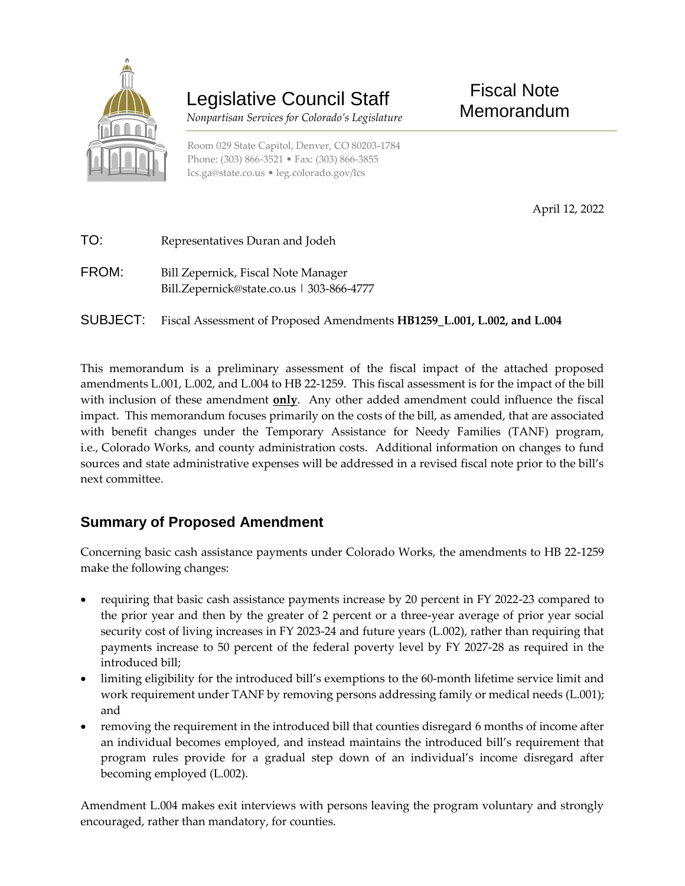

## Legislative Council Staff

 *Nonpartisan Services for Colorado's Legislature*

Room 029 State Capitol, Denver, CO 80203-1784 Phone: (303) 866-3521 • Fax: (303) 866-3855 [lcs.ga@state.co.us](mailto:lcs.ga@state.co.us) • [leg.colorado.gov/lcs](http://leg.colorado.gov/lcs)

Fiscal Note Memorandum

April 12, 2022

| TO:   | Representatives Duran and Jodeh                                                  |
|-------|----------------------------------------------------------------------------------|
| FROM: | Bill Zepernick, Fiscal Note Manager<br>Bill.Zepernick@state.co.us   303-866-4777 |

SUBJECT: Fiscal Assessment of Proposed Amendments **HB1259\_L.001, L.002, and L.004**

This memorandum is a preliminary assessment of the fiscal impact of the attached proposed amendments L.001, L.002, and L.004 to HB 22-1259. This fiscal assessment is for the impact of the bill with inclusion of these amendment **only**. Any other added amendment could influence the fiscal impact. This memorandum focuses primarily on the costs of the bill, as amended, that are associated with benefit changes under the Temporary Assistance for Needy Families (TANF) program, i.e., Colorado Works, and county administration costs. Additional information on changes to fund sources and state administrative expenses will be addressed in a revised fiscal note prior to the bill's next committee.

## **Summary of Proposed Amendment**

Concerning basic cash assistance payments under Colorado Works, the amendments to HB 22-1259 make the following changes:

- requiring that basic cash assistance payments increase by 20 percent in FY 2022-23 compared to the prior year and then by the greater of 2 percent or a three-year average of prior year social security cost of living increases in FY 2023-24 and future years (L.002), rather than requiring that payments increase to 50 percent of the federal poverty level by FY 2027-28 as required in the introduced bill;
- limiting eligibility for the introduced bill's exemptions to the 60-month lifetime service limit and work requirement under TANF by removing persons addressing family or medical needs (L.001); and
- removing the requirement in the introduced bill that counties disregard 6 months of income after an individual becomes employed, and instead maintains the introduced bill's requirement that program rules provide for a gradual step down of an individual's income disregard after becoming employed (L.002).

Amendment L.004 makes exit interviews with persons leaving the program voluntary and strongly encouraged, rather than mandatory, for counties.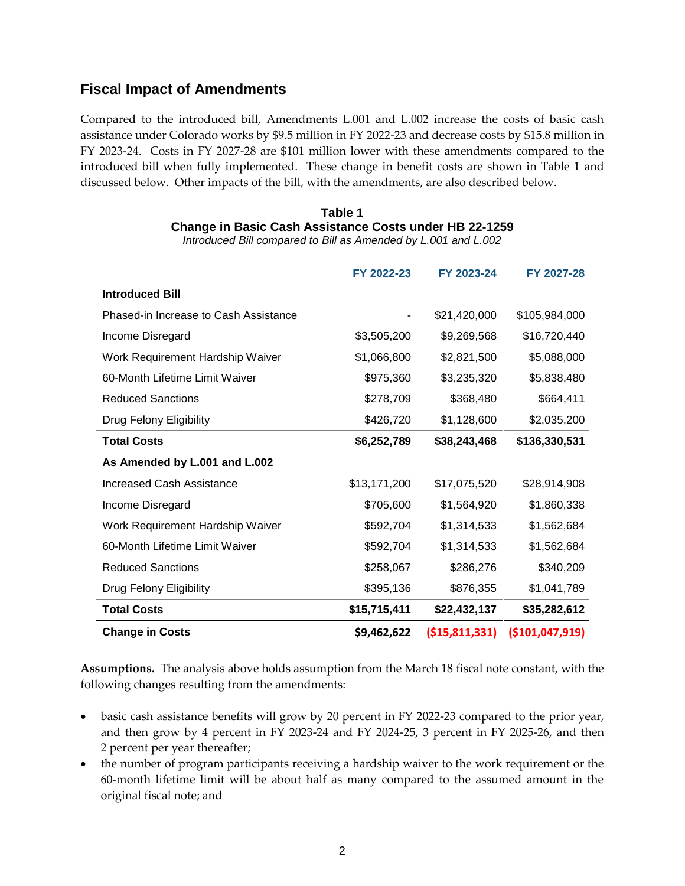## **Fiscal Impact of Amendments**

Compared to the introduced bill, Amendments L.001 and L.002 increase the costs of basic cash assistance under Colorado works by \$9.5 million in FY 2022-23 and decrease costs by \$15.8 million in FY 2023-24. Costs in FY 2027-28 are \$101 million lower with these amendments compared to the introduced bill when fully implemented. These change in benefit costs are shown in Table 1 and discussed below. Other impacts of the bill, with the amendments, are also described below.

| Table 1                                                |
|--------------------------------------------------------|
| Change in Basic Cash Assistance Costs under HB 22-1259 |
|                                                        |

*Introduced Bill compared to Bill as Amended by L.001 and L.002*

|                                       | FY 2022-23   | FY 2023-24        | FY 2027-28       |
|---------------------------------------|--------------|-------------------|------------------|
| <b>Introduced Bill</b>                |              |                   |                  |
| Phased-in Increase to Cash Assistance |              | \$21,420,000      | \$105,984,000    |
| Income Disregard                      | \$3,505,200  | \$9,269,568       | \$16,720,440     |
| Work Requirement Hardship Waiver      | \$1,066,800  | \$2,821,500       | \$5,088,000      |
| 60-Month Lifetime Limit Waiver        | \$975,360    | \$3,235,320       | \$5,838,480      |
| <b>Reduced Sanctions</b>              | \$278,709    | \$368,480         | \$664,411        |
| Drug Felony Eligibility               | \$426,720    | \$1,128,600       | \$2,035,200      |
| <b>Total Costs</b>                    | \$6,252,789  | \$38,243,468      | \$136,330,531    |
| As Amended by L.001 and L.002         |              |                   |                  |
| Increased Cash Assistance             | \$13,171,200 | \$17,075,520      | \$28,914,908     |
| Income Disregard                      | \$705,600    | \$1,564,920       | \$1,860,338      |
| Work Requirement Hardship Waiver      | \$592,704    | \$1,314,533       | \$1,562,684      |
| 60-Month Lifetime Limit Waiver        | \$592,704    | \$1,314,533       | \$1,562,684      |
| <b>Reduced Sanctions</b>              | \$258,067    | \$286,276         | \$340,209        |
| Drug Felony Eligibility               | \$395,136    | \$876,355         | \$1,041,789      |
| <b>Total Costs</b>                    | \$15,715,411 | \$22,432,137      | \$35,282,612     |
| <b>Change in Costs</b>                | \$9,462,622  | ( \$15, 811, 331) | ( \$101,047,919) |

**Assumptions.** The analysis above holds assumption from the March 18 fiscal note constant, with the following changes resulting from the amendments:

- basic cash assistance benefits will grow by 20 percent in FY 2022-23 compared to the prior year, and then grow by 4 percent in FY 2023-24 and FY 2024-25, 3 percent in FY 2025-26, and then 2 percent per year thereafter;
- the number of program participants receiving a hardship waiver to the work requirement or the 60-month lifetime limit will be about half as many compared to the assumed amount in the original fiscal note; and